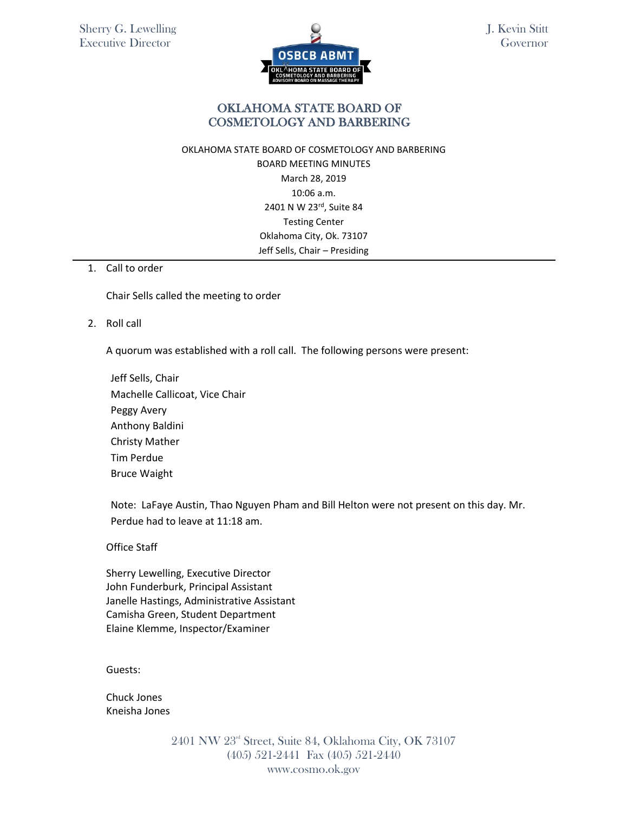

J. Kevin Stitt Governor

## OKLAHOMA STATE BOARD OF COSMETOLOGY AND BARBERING

### OKLAHOMA STATE BOARD OF COSMETOLOGY AND BARBERING BOARD MEETING MINUTES March 28, 2019 10:06 a.m. 2401 N W 23rd, Suite 84 Testing Center Oklahoma City, Ok. 73107 Jeff Sells, Chair – Presiding

#### 1. Call to order

Chair Sells called the meeting to order

2. Roll call

A quorum was established with a roll call. The following persons were present:

Jeff Sells, Chair Machelle Callicoat, Vice Chair Peggy Avery Anthony Baldini Christy Mather Tim Perdue Bruce Waight

Note: LaFaye Austin, Thao Nguyen Pham and Bill Helton were not present on this day. Mr. Perdue had to leave at 11:18 am.

Office Staff

Sherry Lewelling, Executive Director John Funderburk, Principal Assistant Janelle Hastings, Administrative Assistant Camisha Green, Student Department Elaine Klemme, Inspector/Examiner

Guests:

Chuck Jones Kneisha Jones

> 2401 NW 23rd Street, Suite 84, Oklahoma City, OK 73107 (405) 521-2441 Fax (405) 521-2440 www.cosmo.ok.gov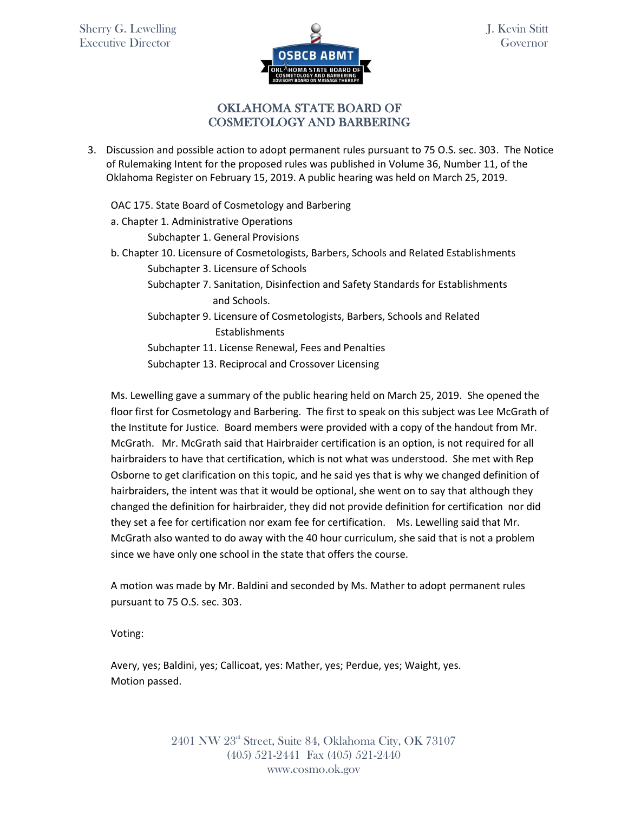

J. Kevin Stitt Governor

## OKLAHOMA STATE BOARD OF COSMETOLOGY AND BARBERING

3. Discussion and possible action to adopt permanent rules pursuant to 75 O.S. sec. 303. The Notice of Rulemaking Intent for the proposed rules was published in Volume 36, Number 11, of the Oklahoma Register on February 15, 2019. A public hearing was held on March 25, 2019.

OAC 175. State Board of Cosmetology and Barbering a. Chapter 1. Administrative Operations Subchapter 1. General Provisions b. Chapter 10. Licensure of Cosmetologists, Barbers, Schools and Related Establishments Subchapter 3. Licensure of Schools Subchapter 7. Sanitation, Disinfection and Safety Standards for Establishments and Schools. Subchapter 9. Licensure of Cosmetologists, Barbers, Schools and Related Establishments Subchapter 11. License Renewal, Fees and Penalties Subchapter 13. Reciprocal and Crossover Licensing

Ms. Lewelling gave a summary of the public hearing held on March 25, 2019. She opened the floor first for Cosmetology and Barbering. The first to speak on this subject was Lee McGrath of the Institute for Justice. Board members were provided with a copy of the handout from Mr. McGrath. Mr. McGrath said that Hairbraider certification is an option, is not required for all hairbraiders to have that certification, which is not what was understood. She met with Rep Osborne to get clarification on this topic, and he said yes that is why we changed definition of hairbraiders, the intent was that it would be optional, she went on to say that although they changed the definition for hairbraider, they did not provide definition for certification nor did they set a fee for certification nor exam fee for certification. Ms. Lewelling said that Mr. McGrath also wanted to do away with the 40 hour curriculum, she said that is not a problem since we have only one school in the state that offers the course.

A motion was made by Mr. Baldini and seconded by Ms. Mather to adopt permanent rules pursuant to 75 O.S. sec. 303.

Voting:

Avery, yes; Baldini, yes; Callicoat, yes: Mather, yes; Perdue, yes; Waight, yes. Motion passed.

> 2401 NW 23rd Street, Suite 84, Oklahoma City, OK 73107 (405) 521-2441 Fax (405) 521-2440 www.cosmo.ok.gov